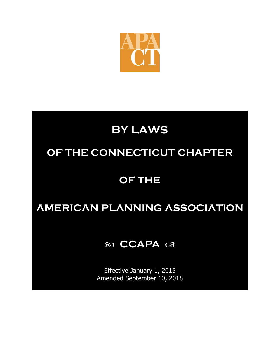

## **BY LAWS**

## **OF THE CONNECTICUT CHAPTER**

## **OF THE**

## **AMERICAN PLANNING ASSOCIATION**

### *CCAPA*  $\alpha$

Effective January 1, 2015 Amended September 10, 2018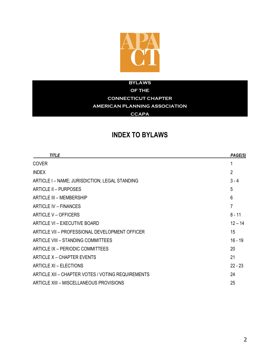

#### **BYLAWS**

**OF THE**

**CONNECTICUT CHAPTER**

### **AMERICAN PLANNING ASSOCIATION**

### **CCAPA**

### **INDEX TO BYLAWS**

| <b>TITLE</b>                                      | PAGE(S)        |
|---------------------------------------------------|----------------|
| <b>COVER</b>                                      | 1              |
| <b>INDEX</b>                                      | $\overline{2}$ |
| ARTICLE I - NAME; JURISDICTION; LEGAL STANDING    | $3 - 4$        |
| ARTICLE II - PURPOSES                             | 5              |
| ARTICLE III - MEMBERSHIP                          | 6              |
| ARTICLE IV - FINANCES                             | 7              |
| ARTICLE V - OFFICERS                              | $8 - 11$       |
| ARTICLE VI - EXECUTIVE BOARD                      | $12 - 14$      |
| ARTICLE VII - PROFESSIONAL DEVELOPMENT OFFICER    | 15             |
| ARTICLE VIII - STANDING COMMITTEES                | $16 - 19$      |
| ARTICLE IX - PERIODIC COMMITTEES                  | 20             |
| ARTICLE X - CHAPTER EVENTS                        | 21             |
| <b>ARTICLE XI - ELECTIONS</b>                     | $22 - 23$      |
| ARTICLE XII - CHAPTER VOTES / VOTING REQUIREMENTS | 24             |
| ARTICLE XIII - MISCELLANEOUS PROVISIONS           | 25             |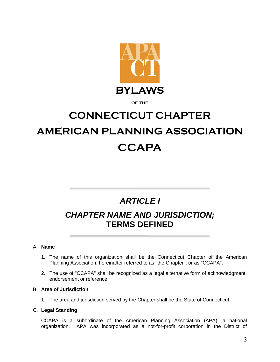

#### **OF THE**

# **CONNECTICUT CHAPTER AMERICAN PLANNING ASSOCIATION CCAPA**

### *ARTICLE I*

### *CHAPTER NAME AND JURISDICTION;* **TERMS DEFINED**

#### A. **Name**

- 1. The name of this organization shall be the Connecticut Chapter of the American Planning Association, hereinafter referred to as "the Chapter", or as "CCAPA".
- 2. The use of "CCAPA" shall be recognized as a legal alternative form of acknowledgment, endorsement or reference.

### B. **Area of Jurisdiction**

1. The area and jurisdiction served by the Chapter shall be the State of Connecticut.

### C. **Legal Standing**

CCAPA is a subordinate of the American Planning Association (APA), a national organization. APA was incorporated as a not-for-profit corporation in the District of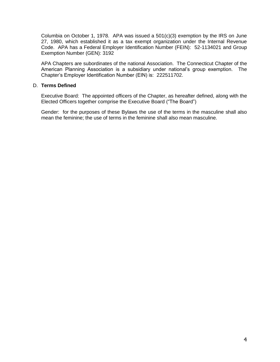Columbia on October 1, 1978. APA was issued a  $501(c)(3)$  exemption by the IRS on June 27, 1980, which established it as a tax exempt organization under the Internal Revenue Code. APA has a Federal Employer Identification Number (FEIN): 52-1134021 and Group Exemption Number (GEN): 3192

APA Chapters are subordinates of the national Association. The Connecticut Chapter of the American Planning Association is a subsidiary under national's group exemption. The Chapter's Employer Identification Number (EIN) is: 222511702.

### D. **Terms Defined**

Executive Board: The appointed officers of the Chapter, as hereafter defined, along with the Elected Officers together comprise the Executive Board ("The Board")

Gender: for the purposes of these Bylaws the use of the terms in the masculine shall also mean the feminine; the use of terms in the feminine shall also mean masculine.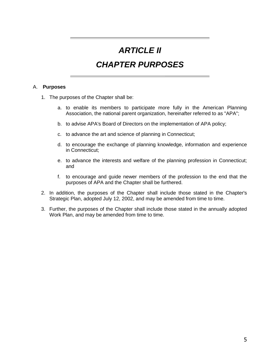### *ARTICLE II*

### *CHAPTER PURPOSES*

#### A. **Purposes**

- 1. The purposes of the Chapter shall be:
	- a. to enable its members to participate more fully in the American Planning Association, the national parent organization, hereinafter referred to as "APA";
	- b. to advise APA's Board of Directors on the implementation of APA policy;
	- c. to advance the art and science of planning in Connecticut;
	- d. to encourage the exchange of planning knowledge, information and experience in Connecticut;
	- e. to advance the interests and welfare of the planning profession in Connecticut; and
	- f. to encourage and guide newer members of the profession to the end that the purposes of APA and the Chapter shall be furthered.
- 2. In addition, the purposes of the Chapter shall include those stated in the Chapter's Strategic Plan, adopted July 12, 2002, and may be amended from time to time.
- 3. Further, the purposes of the Chapter shall include those stated in the annually adopted Work Plan, and may be amended from time to time.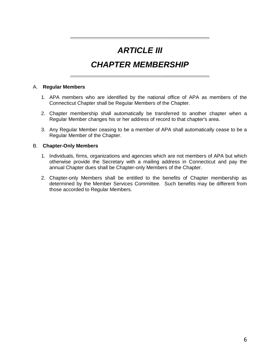### *ARTICLE III*

### *CHAPTER MEMBERSHIP*

#### A. **Regular Members**

- 1. APA members who are identified by the national office of APA as members of the Connecticut Chapter shall be Regular Members of the Chapter.
- 2. Chapter membership shall automatically be transferred to another chapter when a Regular Member changes his or her address of record to that chapter's area.
- 3. Any Regular Member ceasing to be a member of APA shall automatically cease to be a Regular Member of the Chapter.

#### B. **Chapter-Only Members**

- 1. Individuals, firms, organizations and agencies which are not members of APA but which otherwise provide the Secretary with a mailing address in Connecticut and pay the annual Chapter dues shall be Chapter-only Members of the Chapter.
- 2. Chapter-only Members shall be entitled to the benefits of Chapter membership as determined by the Member Services Committee. Such benefits may be different from those accorded to Regular Members.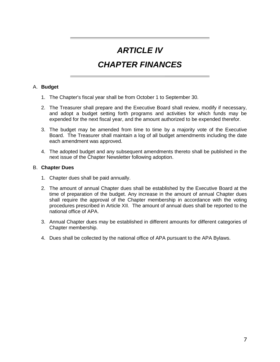### *ARTICLE IV*

### *CHAPTER FINANCES*

### A. **Budget**

- 1. The Chapter's fiscal year shall be from October 1 to September 30.
- 2. The Treasurer shall prepare and the Executive Board shall review, modify if necessary, and adopt a budget setting forth programs and activities for which funds may be expended for the next fiscal year, and the amount authorized to be expended therefor.
- 3. The budget may be amended from time to time by a majority vote of the Executive Board. The Treasurer shall maintain a log of all budget amendments including the date each amendment was approved.
- 4. The adopted budget and any subsequent amendments thereto shall be published in the next issue of the Chapter Newsletter following adoption.

#### B. **Chapter Dues**

- 1. Chapter dues shall be paid annually.
- 2. The amount of annual Chapter dues shall be established by the Executive Board at the time of preparation of the budget. Any increase in the amount of annual Chapter dues shall require the approval of the Chapter membership in accordance with the voting procedures prescribed in Article XII. The amount of annual dues shall be reported to the national office of APA.
- 3. Annual Chapter dues may be established in different amounts for different categories of Chapter membership.
- 4. Dues shall be collected by the national office of APA pursuant to the APA Bylaws.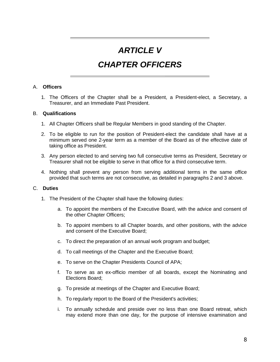### *ARTICLE V*

### *CHAPTER OFFICERS*

### A. **Officers**

1. The Officers of the Chapter shall be a President, a President-elect, a Secretary, a Treasurer, and an Immediate Past President.

#### B. **Qualifications**

- 1. All Chapter Officers shall be Regular Members in good standing of the Chapter.
- 2. To be eligible to run for the position of President-elect the candidate shall have at a minimum served one 2-year term as a member of the Board as of the effective date of taking office as President.
- 3. Any person elected to and serving two full consecutive terms as President, Secretary or Treasurer shall not be eligible to serve in that office for a third consecutive term.
- 4. Nothing shall prevent any person from serving additional terms in the same office provided that such terms are not consecutive, as detailed in paragraphs 2 and 3 above.

#### C. **Duties**

- 1. The President of the Chapter shall have the following duties:
	- a. To appoint the members of the Executive Board, with the advice and consent of the other Chapter Officers;
	- b. To appoint members to all Chapter boards, and other positions, with the advice and consent of the Executive Board;
	- c. To direct the preparation of an annual work program and budget;
	- d. To call meetings of the Chapter and the Executive Board;
	- e. To serve on the Chapter Presidents Council of APA;
	- f. To serve as an ex-officio member of all boards, except the Nominating and Elections Board;
	- g. To preside at meetings of the Chapter and Executive Board;
	- h. To regularly report to the Board of the President's activities;
	- i. To annually schedule and preside over no less than one Board retreat, which may extend more than one day, for the purpose of intensive examination and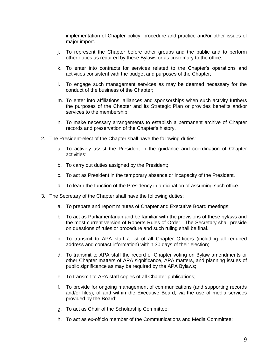implementation of Chapter policy, procedure and practice and/or other issues of major import.

- j. To represent the Chapter before other groups and the public and to perform other duties as required by these Bylaws or as customary to the office;
- k. To enter into contracts for services related to the Chapter's operations and activities consistent with the budget and purposes of the Chapter;
- l. To engage such management services as may be deemed necessary for the conduct of the business of the Chapter;
- m. To enter into affiliations, alliances and sponsorships when such activity furthers the purposes of the Chapter and its Strategic Plan or provides benefits and/or services to the membership;
- n. To make necessary arrangements to establish a permanent archive of Chapter records and preservation of the Chapter's history.
- 2. The President-elect of the Chapter shall have the following duties:
	- a. To actively assist the President in the guidance and coordination of Chapter activities;
	- b. To carry out duties assigned by the President;
	- c. To act as President in the temporary absence or incapacity of the President.
	- d. To learn the function of the Presidency in anticipation of assuming such office.
- 3. The Secretary of the Chapter shall have the following duties:
	- a. To prepare and report minutes of Chapter and Executive Board meetings;
	- b. To act as Parliamentarian and be familiar with the provisions of these bylaws and the most current version of Roberts Rules of Order. The Secretary shall preside on questions of rules or procedure and such ruling shall be final.
	- c. To transmit to APA staff a list of all Chapter Officers (including all required address and contact information) within 30 days of their election;
	- d. To transmit to APA staff the record of Chapter voting on Bylaw amendments or other Chapter matters of APA significance, APA matters, and planning issues of public significance as may be required by the APA Bylaws;
	- e. To transmit to APA staff copies of all Chapter publications;
	- f. To provide for ongoing management of communications (and supporting records and/or files), of and within the Executive Board, via the use of media services provided by the Board;
	- g. To act as Chair of the Scholarship Committee;
	- h. To act as ex-officio member of the Communications and Media Committee;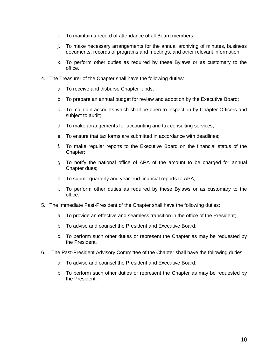- i. To maintain a record of attendance of all Board members;
- j. To make necessary arrangements for the annual archiving of minutes, business documents, records of programs and meetings, and other relevant information;
- k. To perform other duties as required by these Bylaws or as customary to the office.
- 4. The Treasurer of the Chapter shall have the following duties:
	- a. To receive and disburse Chapter funds;
	- b. To prepare an annual budget for review and adoption by the Executive Board;
	- c. To maintain accounts which shall be open to inspection by Chapter Officers and subject to audit;
	- d. To make arrangements for accounting and tax consulting services;
	- e. To ensure that tax forms are submitted in accordance with deadlines;
	- f. To make regular reports to the Executive Board on the financial status of the Chapter;
	- g. To notify the national office of APA of the amount to be charged for annual Chapter dues;
	- h. To submit quarterly and year-end financial reports to APA;
	- i. To perform other duties as required by these Bylaws or as customary to the office.
- 5. The Immediate Past-President of the Chapter shall have the following duties:
	- a. To provide an effective and seamless transition in the office of the President;
	- b. To advise and counsel the President and Executive Board;
	- c. To perform such other duties or represent the Chapter as may be requested by the President.
- 6. The Past-President Advisory Committee of the Chapter shall have the following duties:
	- a. To advise and counsel the President and Executive Board;
	- b. To perform such other duties or represent the Chapter as may be requested by the President.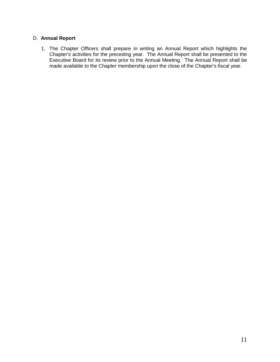### D. **Annual Report**

1. The Chapter Officers shall prepare in writing an Annual Report which highlights the Chapter's activities for the preceding year. The Annual Report shall be presented to the Executive Board for its review prior to the Annual Meeting. The Annual Report shall be made available to the Chapter membership upon the close of the Chapter's fiscal year.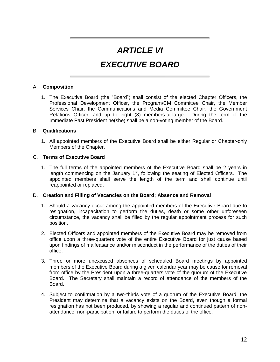### *ARTICLE VI*

### *EXECUTIVE BOARD*

### A. **Composition**

1. The Executive Board (the "Board") shall consist of the elected Chapter Officers, the Professional Development Officer, the Program/CM Committee Chair, the Member Services Chair, the Communications and Media Committee Chair, the Government Relations Officer, and up to eight (8) members-at-large. During the term of the Immediate Past President he(she) shall be a non-voting member of the Board.

#### B. **Qualifications**

1. All appointed members of the Executive Board shall be either Regular or Chapter-only Members of the Chapter.

#### C. **Terms of Executive Board**

1. The full terms of the appointed members of the Executive Board shall be 2 years in length commencing on the January  $1<sup>st</sup>$ , following the seating of Elected Officers. The appointed members shall serve the length of the term and shall continue until reappointed or replaced.

#### D. **Creation and Filling of Vacancies on the Board; Absence and Removal**

- 1. Should a vacancy occur among the appointed members of the Executive Board due to resignation, incapacitation to perform the duties, death or some other unforeseen circumstance, the vacancy shall be filled by the regular appointment process for such position.
- 2. Elected Officers and appointed members of the Executive Board may be removed from office upon a three-quarters vote of the entire Executive Board for just cause based upon findings of malfeasance and/or misconduct in the performance of the duties of their office.
- 3. Three or more unexcused absences of scheduled Board meetings by appointed members of the Executive Board during a given calendar year may be cause for removal from office by the President upon a three-quarters vote of the quorum of the Executive Board. The Secretary shall maintain a record of attendance of the members of the Board.
- 4. Subject to confirmation by a two-thirds vote of a quorum of the Executive Board, the President may determine that a vacancy exists on the Board, even though a formal resignation has not been produced, by showing a regular and continued pattern of nonattendance, non-participation, or failure to perform the duties of the office.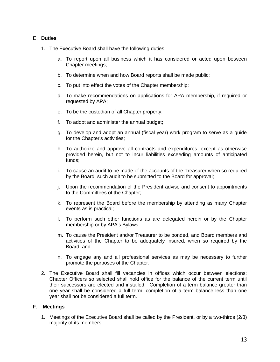### E. **Duties**

- 1. The Executive Board shall have the following duties:
	- a. To report upon all business which it has considered or acted upon between Chapter meetings;
	- b. To determine when and how Board reports shall be made public;
	- c. To put into effect the votes of the Chapter membership;
	- d. To make recommendations on applications for APA membership, if required or requested by APA;
	- e. To be the custodian of all Chapter property;
	- f. To adopt and administer the annual budget;
	- g. To develop and adopt an annual (fiscal year) work program to serve as a guide for the Chapter's activities;
	- h. To authorize and approve all contracts and expenditures, except as otherwise provided herein, but not to incur liabilities exceeding amounts of anticipated funds;
	- i. To cause an audit to be made of the accounts of the Treasurer when so required by the Board, such audit to be submitted to the Board for approval;
	- j. Upon the recommendation of the President advise and consent to appointments to the Committees of the Chapter;
	- k. To represent the Board before the membership by attending as many Chapter events as is practical;
	- l. To perform such other functions as are delegated herein or by the Chapter membership or by APA's Bylaws;
	- m. To cause the President and/or Treasurer to be bonded, and Board members and activities of the Chapter to be adequately insured, when so required by the Board; and
	- n. To engage any and all professional services as may be necessary to further promote the purposes of the Chapter.
- 2. The Executive Board shall fill vacancies in offices which occur between elections; Chapter Officers so selected shall hold office for the balance of the current term until their successors are elected and installed. Completion of a term balance greater than one year shall be considered a full term; completion of a term balance less than one year shall not be considered a full term.

### F. **Meetings**

1. Meetings of the Executive Board shall be called by the President, or by a two-thirds (2/3) majority of its members.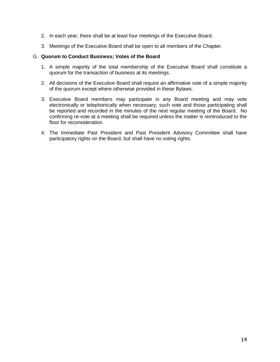- 2. In each year, there shall be at least four meetings of the Executive Board.
- 3. Meetings of the Executive Board shall be open to all members of the Chapter.

#### G. **Quorum to Conduct Business; Votes of the Board**

- 1. A simple majority of the total membership of the Executive Board shall constitute a quorum for the transaction of business at its meetings.
- 2. All decisions of the Executive Board shall require an affirmative vote of a simple majority of the quorum except where otherwise provided in these Bylaws.
- 3. Executive Board members may participate in any Board meeting and may vote electronically or telephonically when necessary; such vote and those participating shall be reported and recorded in the minutes of the next regular meeting of the Board. No confirming re-vote at a meeting shall be required unless the matter is reintroduced to the floor for reconsideration.
- 4. The Immediate Past President and Past President Advisory Committee shall have participatory rights on the Board, but shall have no voting rights.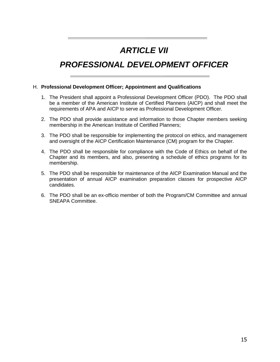### *ARTICLE VII*

### *PROFESSIONAL DEVELOPMENT OFFICER*

#### H. **Professional Development Officer; Appointment and Qualifications**

- 1. The President shall appoint a Professional Development Officer (PDO). The PDO shall be a member of the American Institute of Certified Planners (AICP) and shall meet the requirements of APA and AICP to serve as Professional Development Officer.
- 2. The PDO shall provide assistance and information to those Chapter members seeking membership in the American Institute of Certified Planners;
- 3. The PDO shall be responsible for implementing the protocol on ethics, and management and oversight of the AICP Certification Maintenance (CM) program for the Chapter.
- 4. The PDO shall be responsible for compliance with the Code of Ethics on behalf of the Chapter and its members, and also, presenting a schedule of ethics programs for its membership.
- 5. The PDO shall be responsible for maintenance of the AICP Examination Manual and the presentation of annual AICP examination preparation classes for prospective AICP candidates.
- 6. The PDO shall be an ex-officio member of both the Program/CM Committee and annual SNEAPA Committee.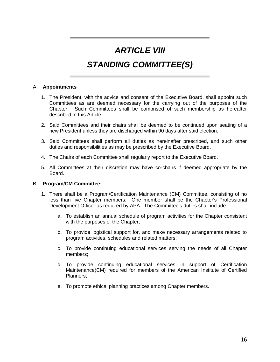### *ARTICLE VIII*

### *STANDING COMMITTEE(S)*

#### A. **Appointments**

- 1. The President, with the advice and consent of the Executive Board, shall appoint such Committees as are deemed necessary for the carrying out of the purposes of the Chapter. Such Committees shall be comprised of such membership as hereafter described in this Article.
- 2. Said Committees and their chairs shall be deemed to be continued upon seating of a new President unless they are discharged within 90 days after said election.
- 3. Said Committees shall perform all duties as hereinafter prescribed, and such other duties and responsibilities as may be prescribed by the Executive Board.
- 4. The Chairs of each Committee shall regularly report to the Executive Board.
- 5. All Committees at their discretion may have co-chairs if deemed appropriate by the Board.

#### B. **Program/CM Committee:**

- 1. There shall be a Program/Certification Maintenance (CM) Committee, consisting of no less than five Chapter members. One member shall be the Chapter's Professional Development Officer as required by APA. The Committee's duties shall include:
	- a. To establish an annual schedule of program activities for the Chapter consistent with the purposes of the Chapter;
	- b. To provide logistical support for, and make necessary arrangements related to program activities, schedules and related matters;
	- c. To provide continuing educational services serving the needs of all Chapter members;
	- d. To provide continuing educational services in support of Certification Maintenance(CM) required for members of the American Institute of Certified Planners;
	- e. To promote ethical planning practices among Chapter members.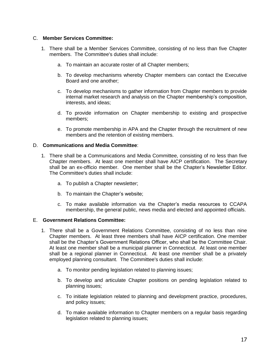#### C. **Member Services Committee:**

- 1. There shall be a Member Services Committee, consisting of no less than five Chapter members. The Committee's duties shall include:
	- a. To maintain an accurate roster of all Chapter members;
	- b. To develop mechanisms whereby Chapter members can contact the Executive Board and one another;
	- c. To develop mechanisms to gather information from Chapter members to provide internal market research and analysis on the Chapter membership's composition, interests, and ideas;
	- d. To provide information on Chapter membership to existing and prospective members;
	- e. To promote membership in APA and the Chapter through the recruitment of new members and the retention of existing members.

#### D. **Communications and Media Committee**:

- 1. There shall be a Communications and Media Committee, consisting of no less than five Chapter members. At least one member shall have AICP certification. The Secretary shall be an ex-officio member. One member shall be the Chapter's Newsletter Editor. The Committee's duties shall include:
	- a. To publish a Chapter newsletter;
	- b. To maintain the Chapter's website;
	- c. To make available information via the Chapter's media resources to CCAPA membership, the general public, news media and elected and appointed officials.

#### E. **Government Relations Committee:**

- 1. There shall be a Government Relations Committee, consisting of no less than nine Chapter members. At least three members shall have AICP certification. One member shall be the Chapter's Government Relations Officer, who shall be the Committee Chair. At least one member shall be a municipal planner in Connecticut. At least one member shall be a regional planner in Connecticut. At least one member shall be a privately employed planning consultant. The Committee's duties shall include:
	- a. To monitor pending legislation related to planning issues;
	- b. To develop and articulate Chapter positions on pending legislation related to planning issues;
	- c. To initiate legislation related to planning and development practice, procedures, and policy issues;
	- d. To make available information to Chapter members on a regular basis regarding legislation related to planning issues;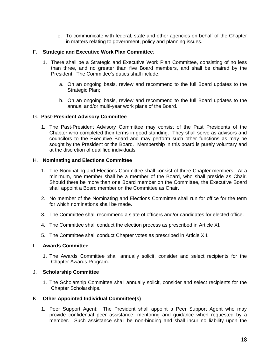e. To communicate with federal, state and other agencies on behalf of the Chapter in matters relating to government, policy and planning issues.

### F. **Strategic and Executive Work Plan Committee**:

- 1. There shall be a Strategic and Executive Work Plan Committee, consisting of no less than three, and no greater than five Board members, and shall be chaired by the President. The Committee's duties shall include:
	- a. On an ongoing basis, review and recommend to the full Board updates to the Strategic Plan;
	- b. On an ongoing basis, review and recommend to the full Board updates to the annual and/or multi-year work plans of the Board.

#### G. **Past-President Advisory Committee**

1. The Past-President Advisory Committee may consist of the Past Presidents of the Chapter who completed their terms in good standing. They shall serve as advisors and councilors to the Executive Board and may perform such other functions as may be sought by the President or the Board. Membership in this board is purely voluntary and at the discretion of qualified individuals.

#### H. **Nominating and Elections Committee**

- 1. The Nominating and Elections Committee shall consist of three Chapter members. At a minimum, one member shall be a member of the Board, who shall preside as Chair. Should there be more than one Board member on the Committee, the Executive Board shall appoint a Board member on the Committee as Chair.
- 2. No member of the Nominating and Elections Committee shall run for office for the term for which nominations shall be made.
- 3. The Committee shall recommend a slate of officers and/or candidates for elected office.
- 4. The Committee shall conduct the election process as prescribed in Article XI.
- 5. The Committee shall conduct Chapter votes as prescribed in Article XII.

#### I. **Awards Committee**

1. The Awards Committee shall annually solicit, consider and select recipients for the Chapter Awards Program.

#### J. **Scholarship Committee**

1. The Scholarship Committee shall annually solicit, consider and select recipients for the Chapter Scholarships.

### K. **Other Appointed Individual Committee(s)**

1. Peer Support Agent: The President shall appoint a Peer Support Agent who may provide confidential peer assistance, mentoring and guidance when requested by a member. Such assistance shall be non-binding and shall incur no liability upon the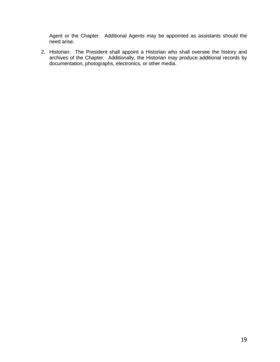Agent or the Chapter. Additional Agents may be appointed as assistants should the need arise.

2. Historian: The President shall appoint a Historian who shall oversee the history and archives of the Chapter. Additionally, the Historian may produce additional records by documentation, photographs, electronics, or other media.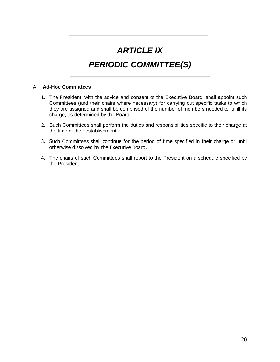### *ARTICLE IX*

### *PERIODIC COMMITTEE(S)*

#### A. **Ad-Hoc Committees**

- 1. The President, with the advice and consent of the Executive Board, shall appoint such Committees (and their chairs where necessary) for carrying out specific tasks to which they are assigned and shall be comprised of the number of members needed to fulfill its charge, as determined by the Board.
- 2. Such Committees shall perform the duties and responsibilities specific to their charge at the time of their establishment.
- 3. Such Committees shall continue for the period of time specified in their charge or until otherwise dissolved by the Executive Board.
- 4. The chairs of such Committees shall report to the President on a schedule specified by the President.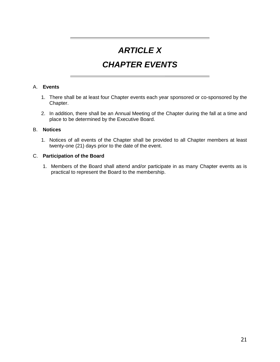### *ARTICLE X*

### *CHAPTER EVENTS*

### A. **Events**

- 1. There shall be at least four Chapter events each year sponsored or co-sponsored by the Chapter.
- 2. In addition, there shall be an Annual Meeting of the Chapter during the fall at a time and place to be determined by the Executive Board.

### B. **Notices**

1. Notices of all events of the Chapter shall be provided to all Chapter members at least twenty-one (21) days prior to the date of the event.

### C. **Participation of the Board**

1. Members of the Board shall attend and/or participate in as many Chapter events as is practical to represent the Board to the membership.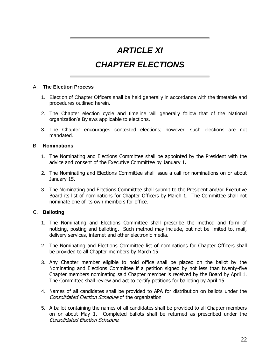### *ARTICLE XI*

### *CHAPTER ELECTIONS*

#### A. **The Election Process**

- 1. Election of Chapter Officers shall be held generally in accordance with the timetable and procedures outlined herein.
- 2. The Chapter election cycle and timeline will generally follow that of the National organization's Bylaws applicable to elections.
- 3. The Chapter encourages contested elections; however, such elections are not mandated.

#### B. **Nominations**

- 1. The Nominating and Elections Committee shall be appointed by the President with the advice and consent of the Executive Committee by January 1.
- 2. The Nominating and Elections Committee shall issue a call for nominations on or about January 15.
- 3. The Nominating and Elections Committee shall submit to the President and/or Executive Board its list of nominations for Chapter Officers by March 1. The Committee shall not nominate one of its own members for office.

### C. **Balloting**

- 1. The Nominating and Elections Committee shall prescribe the method and form of noticing, posting and balloting. Such method may include, but not be limited to, mail, delivery services, internet and other electronic media.
- 2. The Nominating and Elections Committee list of nominations for Chapter Officers shall be provided to all Chapter members by March 15.
- 3. Any Chapter member eligible to hold office shall be placed on the ballot by the Nominating and Elections Committee if a petition signed by not less than twenty-five Chapter members nominating said Chapter member is received by the Board by April 1. The Committee shall review and act to certify petitions for balloting by April 15.
- 4. Names of all candidates shall be provided to APA for distribution on ballots under the Consolidated Election Schedule of the organization
- 5. A ballot containing the names of all candidates shall be provided to all Chapter members on or about May 1. Completed ballots shall be returned as prescribed under the Consolidated Election Schedule.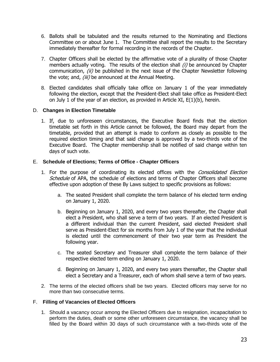- 6. Ballots shall be tabulated and the results returned to the Nominating and Elections Committee on or about June 1. The Committee shall report the results to the Secretary immediately thereafter for formal recording in the records of the Chapter.
- 7. Chapter Officers shall be elected by the affirmative vote of a plurality of those Chapter members actually voting. The results of the election shall (i) be announced by Chapter communication,  $(ii)$  be published in the next issue of the Chapter Newsletter following the vote; and, (iii) be announced at the Annual Meeting.
- 8. Elected candidates shall officially take office on January 1 of the year immediately following the election, except that the President-Elect shall take office as President-Elect on July 1 of the year of an election, as provided in Article XI,  $E(1)(b)$ , herein.

### D. **Changes in Election Timetable**

1. If, due to unforeseen circumstances, the Executive Board finds that the election timetable set forth in this Article cannot be followed, the Board may depart from the timetable, provided that an attempt is made to conform as closely as possible to the required election timing and that said change is approved by a two-thirds vote of the Executive Board. The Chapter membership shall be notified of said change within ten days of such vote.

### E. **Schedule of Elections; Terms of Office - Chapter Officers**

- 1. For the purpose of coordinating its elected offices with the *Consolidated Election* Schedule of APA, the schedule of elections and terms of Chapter Officers shall become effective upon adoption of these By Laws subject to specific provisions as follows:
	- a. The seated President shall complete the term balance of his elected term ending on January 1, 2020.
	- b. Beginning on January 1, 2020, and every two years thereafter, the Chapter shall elect a President, who shall serve a term of two years. If an elected President is a different individual than the current President, said elected President shall serve as President-Elect for six months from July 1 of the year that the individual is elected until the commencement of their two year term as President the following year.
	- c. The seated Secretary and Treasurer shall complete the term balance of their respective elected term ending on January 1, 2020.
	- d. Beginning on January 1, 2020, and every two years thereafter, the Chapter shall elect a Secretary and a Treasurer, each of whom shall serve a term of two years.
- 2. The terms of the elected officers shall be two years. Elected officers may serve for no more than two consecutive terms.

### F. **Filling of Vacancies of Elected Officers**

1. Should a vacancy occur among the Elected Officers due to resignation, incapacitation to perform the duties, death or some other unforeseen circumstance, the vacancy shall be filled by the Board within 30 days of such circumstance with a two-thirds vote of the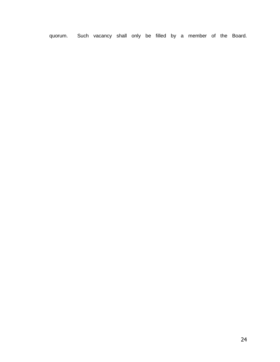quorum. Such vacancy shall only be filled by a member of the Board.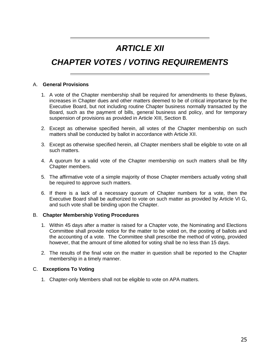### *ARTICLE XII*

### *CHAPTER VOTES / VOTING REQUIREMENTS*

#### A. **General Provisions**

- 1. A vote of the Chapter membership shall be required for amendments to these Bylaws, increases in Chapter dues and other matters deemed to be of critical importance by the Executive Board, but not including routine Chapter business normally transacted by the Board, such as the payment of bills, general business and policy, and for temporary suspension of provisions as provided in Article XIII, Section B.
- 2. Except as otherwise specified herein, all votes of the Chapter membership on such matters shall be conducted by ballot in accordance with Article XII.
- 3. Except as otherwise specified herein, all Chapter members shall be eligible to vote on all such matters.
- 4. A quorum for a valid vote of the Chapter membership on such matters shall be fifty Chapter members.
- 5. The affirmative vote of a simple majority of those Chapter members actually voting shall be required to approve such matters.
- 6. If there is a lack of a necessary quorum of Chapter numbers for a vote, then the Executive Board shall be authorized to vote on such matter as provided by Article VI G, and such vote shall be binding upon the Chapter.

### B. **Chapter Membership Voting Procedures**

- 1. Within 45 days after a matter is raised for a Chapter vote, the Nominating and Elections Committee shall provide notice for the matter to be voted on, the posting of ballots and the accounting of a vote. The Committee shall prescribe the method of voting, provided however, that the amount of time allotted for voting shall be no less than 15 days.
- 2. The results of the final vote on the matter in question shall be reported to the Chapter membership in a timely manner.

### C. **Exceptions To Voting**

1. Chapter-only Members shall not be eligible to vote on APA matters.